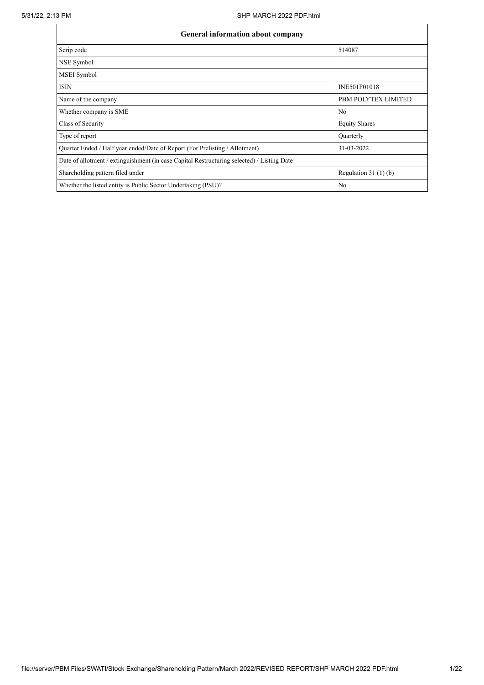| General information about company                                                          |                       |
|--------------------------------------------------------------------------------------------|-----------------------|
| Scrip code                                                                                 | 514087                |
| NSE Symbol                                                                                 |                       |
| MSEI Symbol                                                                                |                       |
| <b>ISIN</b>                                                                                | INE501F01018          |
| Name of the company                                                                        | PBM POLYTEX LIMITED   |
| Whether company is SME                                                                     | No                    |
| Class of Security                                                                          | <b>Equity Shares</b>  |
| Type of report                                                                             | Ouarterly             |
| Quarter Ended / Half year ended/Date of Report (For Prelisting / Allotment)                | 31-03-2022            |
| Date of allotment / extinguishment (in case Capital Restructuring selected) / Listing Date |                       |
| Shareholding pattern filed under                                                           | Regulation $31(1)(b)$ |
| Whether the listed entity is Public Sector Undertaking (PSU)?                              | No                    |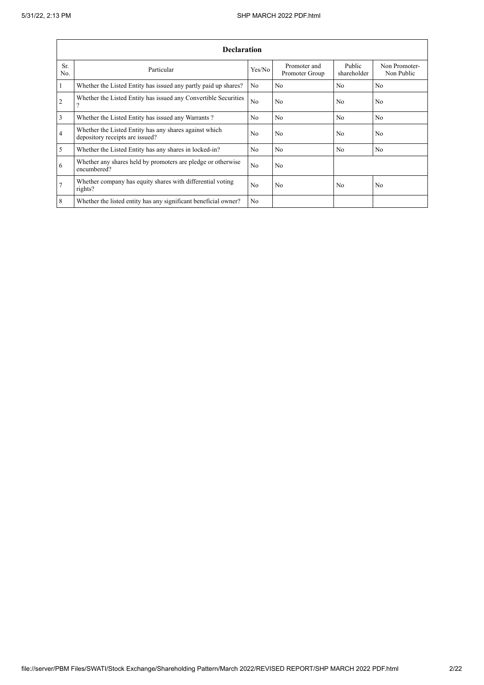$\mathbf{r}$ 

|                 | <b>Declaration</b>                                                                        |                |                                |                       |                             |
|-----------------|-------------------------------------------------------------------------------------------|----------------|--------------------------------|-----------------------|-----------------------------|
| Sr.<br>No.      | Particular                                                                                | Yes/No         | Promoter and<br>Promoter Group | Public<br>shareholder | Non Promoter-<br>Non Public |
| $\mathbf{1}$    | Whether the Listed Entity has issued any partly paid up shares?                           | No             | No                             | N <sub>o</sub>        | No.                         |
| $\overline{2}$  | Whether the Listed Entity has issued any Convertible Securities<br>9                      | N <sub>o</sub> | No                             | N <sub>0</sub>        | N <sub>o</sub>              |
| $\overline{3}$  | Whether the Listed Entity has issued any Warrants?                                        | N <sub>0</sub> | N <sub>0</sub>                 | N <sub>o</sub>        | N <sub>0</sub>              |
| $\overline{4}$  | Whether the Listed Entity has any shares against which<br>depository receipts are issued? | N <sub>o</sub> | No                             | N <sub>o</sub>        | No                          |
| $5\overline{)}$ | Whether the Listed Entity has any shares in locked-in?                                    | N <sub>0</sub> | No                             | N <sub>0</sub>        | No.                         |
| 6               | Whether any shares held by promoters are pledge or otherwise<br>encumbered?               | No             | No                             |                       |                             |
| 7               | Whether company has equity shares with differential voting<br>rights?                     | N <sub>o</sub> | No                             | N <sub>0</sub>        | No                          |
| 8               | Whether the listed entity has any significant beneficial owner?                           | N <sub>0</sub> |                                |                       |                             |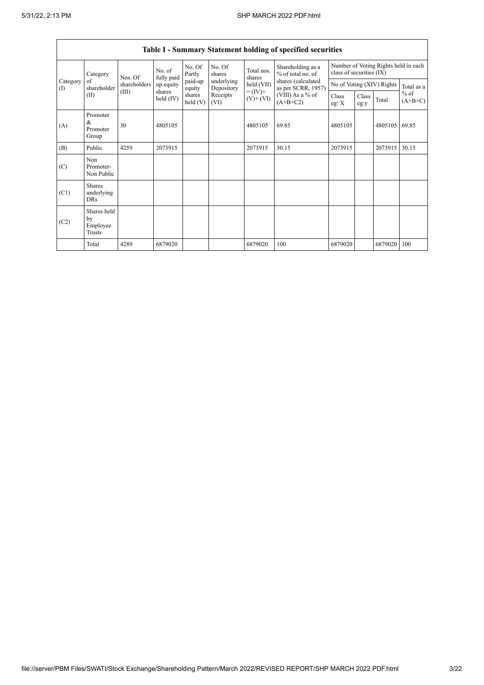|                    | <b>Table I - Summary Statement holding of specified securities</b> |              |                       |                      |                                        |                                          |                                        |                          |               |         |                                      |  |  |
|--------------------|--------------------------------------------------------------------|--------------|-----------------------|----------------------|----------------------------------------|------------------------------------------|----------------------------------------|--------------------------|---------------|---------|--------------------------------------|--|--|
|                    | Category                                                           | Nos. Of      | No. of<br>fully paid  | No. Of<br>Partly     | No. Of<br>shares                       | Total nos.<br>shares                     | Shareholding as a<br>% of total no. of | class of securities (IX) |               |         | Number of Voting Rights held in each |  |  |
| Category<br>$($ I) | of<br>shareholder                                                  | shareholders | up equity             | paid-up<br>equity    | underlying<br>held (VII)<br>Depository | shares (calculated<br>as per SCRR, 1957) | No of Voting (XIV) Rights              |                          | Total as a    |         |                                      |  |  |
|                    | (II)                                                               | (III)        | shares<br>held $(IV)$ | shares<br>held $(V)$ | Receipts<br>(VI)                       | $= (IV) +$<br>$(V)$ + $(VI)$             | (VIII) As a % of<br>$(A+B+C2)$         | Class<br>eg: $X$         | Class<br>eg:y | Total   | $%$ of<br>$(A+B+C)$                  |  |  |
| (A)                | Promoter<br>&<br>Promoter<br>Group                                 | 30           | 4805105               |                      |                                        | 4805105                                  | 69.85                                  | 4805105                  |               | 4805105 | 69.85                                |  |  |
| (B)                | Public                                                             | 4259         | 2073915               |                      |                                        | 2073915                                  | 30.15                                  | 2073915                  |               | 2073915 | 30.15                                |  |  |
| (C)                | Non<br>Promoter-<br>Non Public                                     |              |                       |                      |                                        |                                          |                                        |                          |               |         |                                      |  |  |
| (C1)               | <b>Shares</b><br>underlying<br><b>DRs</b>                          |              |                       |                      |                                        |                                          |                                        |                          |               |         |                                      |  |  |
| (C2)               | Shares held<br>by<br>Employee<br>Trusts                            |              |                       |                      |                                        |                                          |                                        |                          |               |         |                                      |  |  |
|                    | Total                                                              | 4289         | 6879020               |                      |                                        | 6879020                                  | 100                                    | 6879020                  |               | 6879020 | 100                                  |  |  |

٦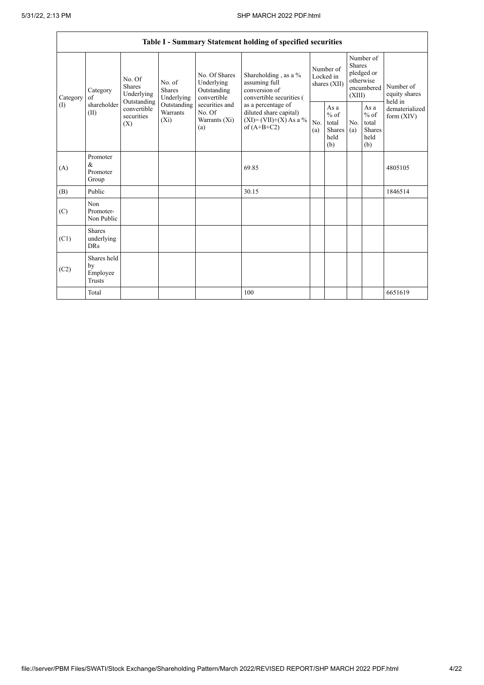|                            |                                         |                                                      |                                       |                                                           | Table I - Summary Statement holding of specified securities                                |            |                                                         |                         |                                                         |                                       |
|----------------------------|-----------------------------------------|------------------------------------------------------|---------------------------------------|-----------------------------------------------------------|--------------------------------------------------------------------------------------------|------------|---------------------------------------------------------|-------------------------|---------------------------------------------------------|---------------------------------------|
| Category                   | Category<br>of                          | No. Of<br><b>Shares</b><br>Underlying<br>Outstanding | No. of<br><b>Shares</b><br>Underlying | No. Of Shares<br>Underlying<br>Outstanding<br>convertible | Shareholding, as a %<br>assuming full<br>conversion of<br>convertible securities (         |            | Number of<br>Locked in<br>shares (XII)                  | <b>Shares</b><br>(XIII) | Number of<br>pledged or<br>otherwise<br>encumbered      | Number of<br>equity shares<br>held in |
| $\left( \mathrm{I}\right)$ | shareholder<br>(II)                     | convertible<br>securities<br>(X)                     | Outstanding<br>Warrants<br>$(X_i)$    | securities and<br>No. Of<br>Warrants $(X_i)$<br>(a)       | as a percentage of<br>diluted share capital)<br>$(XI) = (VII)+(X) As a %$<br>of $(A+B+C2)$ | No.<br>(a) | As a<br>$%$ of<br>total<br><b>Shares</b><br>held<br>(b) | No.<br>(a)              | As a<br>$%$ of<br>total<br><b>Shares</b><br>held<br>(b) | dematerialized<br>form $(XIV)$        |
| (A)                        | Promoter<br>$\&$<br>Promoter<br>Group   |                                                      |                                       |                                                           | 69.85                                                                                      |            |                                                         |                         |                                                         | 4805105                               |
| (B)                        | Public                                  |                                                      |                                       |                                                           | 30.15                                                                                      |            |                                                         |                         |                                                         | 1846514                               |
| (C)                        | Non<br>Promoter-<br>Non Public          |                                                      |                                       |                                                           |                                                                                            |            |                                                         |                         |                                                         |                                       |
| (C1)                       | Shares<br>underlying<br><b>DRs</b>      |                                                      |                                       |                                                           |                                                                                            |            |                                                         |                         |                                                         |                                       |
| (C2)                       | Shares held<br>by<br>Employee<br>Trusts |                                                      |                                       |                                                           |                                                                                            |            |                                                         |                         |                                                         |                                       |
|                            | Total                                   |                                                      |                                       |                                                           | 100                                                                                        |            |                                                         |                         |                                                         | 6651619                               |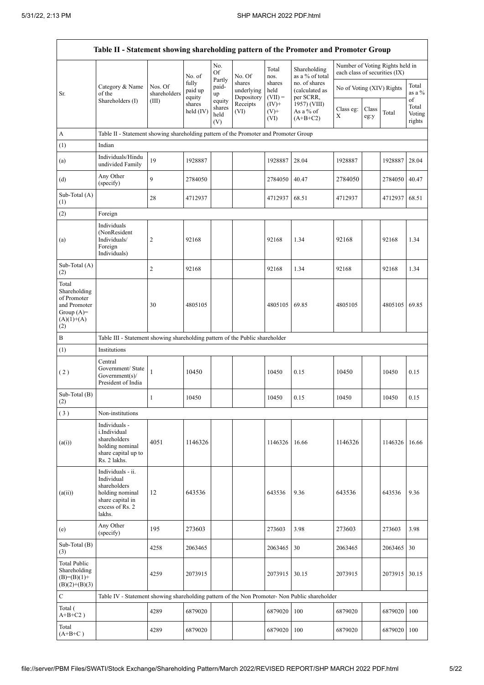$\mathbf{r}$ 

 $\overline{\phantom{0}}$ 

|                                                                                             | Table II - Statement showing shareholding pattern of the Promoter and Promoter Group                                |                         |                            |                                 |                                    |                             |                                              |                               |               |                                 |                           |
|---------------------------------------------------------------------------------------------|---------------------------------------------------------------------------------------------------------------------|-------------------------|----------------------------|---------------------------------|------------------------------------|-----------------------------|----------------------------------------------|-------------------------------|---------------|---------------------------------|---------------------------|
|                                                                                             |                                                                                                                     |                         | No. of                     | No.<br>Of                       | No. Of                             | Total<br>nos.               | Shareholding<br>as a % of total              | each class of securities (IX) |               | Number of Voting Rights held in |                           |
| Sr.                                                                                         | Category & Name<br>of the<br>Shareholders (I)                                                                       | Nos. Of<br>shareholders | fully<br>paid up<br>equity | Partly<br>paid-<br>up           | shares<br>underlying<br>Depository | shares<br>held<br>$(VII) =$ | no. of shares<br>(calculated as<br>per SCRR, | No of Voting (XIV) Rights     |               |                                 | Total<br>as a %<br>of     |
|                                                                                             |                                                                                                                     | (III)                   | shares<br>held (IV)        | equity<br>shares<br>held<br>(V) | Receipts<br>(VI)                   | $(IV)+$<br>$(V)+$<br>(VI)   | 1957) (VIII)<br>As a % of<br>$(A+B+C2)$      | Class eg:<br>X                | Class<br>eg:y | Total                           | Total<br>Voting<br>rights |
| A                                                                                           | Table II - Statement showing shareholding pattern of the Promoter and Promoter Group                                |                         |                            |                                 |                                    |                             |                                              |                               |               |                                 |                           |
| (1)                                                                                         | Indian                                                                                                              |                         |                            |                                 |                                    |                             |                                              |                               |               |                                 |                           |
| (a)                                                                                         | Individuals/Hindu<br>undivided Family                                                                               | 19                      | 1928887                    |                                 |                                    | 1928887                     | 28.04                                        | 1928887                       |               | 1928887                         | 28.04                     |
| (d)                                                                                         | Any Other<br>(specify)                                                                                              | 9                       | 2784050                    |                                 |                                    | 2784050                     | 40.47                                        | 2784050                       |               | 2784050 40.47                   |                           |
| Sub-Total (A)<br>(1)                                                                        |                                                                                                                     | 28                      | 4712937                    |                                 |                                    | 4712937                     | 68.51                                        | 4712937                       |               | 4712937 68.51                   |                           |
| (2)                                                                                         | Foreign                                                                                                             |                         |                            |                                 |                                    |                             |                                              |                               |               |                                 |                           |
| (a)                                                                                         | Individuals<br>(NonResident<br>Individuals/<br>Foreign<br>Individuals)                                              | 2                       | 92168                      |                                 |                                    | 92168                       | 1.34                                         | 92168                         |               | 92168                           | 1.34                      |
| Sub-Total (A)<br>(2)                                                                        |                                                                                                                     | 2                       | 92168                      |                                 |                                    | 92168                       | 1.34                                         | 92168                         |               | 92168                           | 1.34                      |
| Total<br>Shareholding<br>of Promoter<br>and Promoter<br>Group $(A)=$<br>$(A)(1)+(A)$<br>(2) |                                                                                                                     | 30                      | 4805105                    |                                 |                                    | 4805105                     | 69.85                                        | 4805105                       |               | 4805105 69.85                   |                           |
| B                                                                                           | Table III - Statement showing shareholding pattern of the Public shareholder                                        |                         |                            |                                 |                                    |                             |                                              |                               |               |                                 |                           |
| (1)                                                                                         | Institutions                                                                                                        |                         |                            |                                 |                                    |                             |                                              |                               |               |                                 |                           |
| (2)                                                                                         | Central<br>Government/State<br>Government(s)/<br>President of India                                                 | $\mathbf{1}$            | 10450                      |                                 |                                    | 10450                       | 0.15                                         | 10450                         |               | 10450                           | 0.15                      |
| Sub-Total (B)<br>(2)                                                                        |                                                                                                                     | 1                       | 10450                      |                                 |                                    | 10450                       | 0.15                                         | 10450                         |               | 10450                           | 0.15                      |
| (3)                                                                                         | Non-institutions                                                                                                    |                         |                            |                                 |                                    |                             |                                              |                               |               |                                 |                           |
| (a(i))                                                                                      | Individuals -<br>i.Individual<br>shareholders<br>holding nominal<br>share capital up to<br>Rs. 2 lakhs.             | 4051                    | 1146326                    |                                 |                                    | 1146326                     | 16.66                                        | 1146326                       |               | 1146326                         | 16.66                     |
| (a(ii))                                                                                     | Individuals - ii.<br>Individual<br>shareholders<br>holding nominal<br>share capital in<br>excess of Rs. 2<br>lakhs. | 12                      | 643536                     |                                 |                                    | 643536                      | 9.36                                         | 643536                        |               | 643536                          | 9.36                      |
| (e)                                                                                         | Any Other<br>(specify)                                                                                              | 195                     | 273603                     |                                 |                                    | 273603                      | 3.98                                         | 273603                        |               | 273603                          | 3.98                      |
| Sub-Total (B)<br>(3)                                                                        |                                                                                                                     | 4258                    | 2063465                    |                                 |                                    | 2063465                     | 30                                           | 2063465                       |               | 2063465                         | 30                        |
| <b>Total Public</b><br>Shareholding<br>$(B)=(B)(1)+$<br>$(B)(2)+(B)(3)$                     |                                                                                                                     | 4259                    | 2073915                    |                                 |                                    | 2073915                     | 30.15                                        | 2073915                       |               | 2073915                         | 30.15                     |
| $\mathbf C$                                                                                 | Table IV - Statement showing shareholding pattern of the Non Promoter- Non Public shareholder                       |                         |                            |                                 |                                    |                             |                                              |                               |               |                                 |                           |
| Total (<br>$A+B+C2$ )                                                                       |                                                                                                                     | 4289                    | 6879020                    |                                 |                                    | 6879020                     | 100                                          | 6879020                       |               | 6879020                         | 100                       |
| Total<br>$(A+B+C)$                                                                          |                                                                                                                     | 4289                    | 6879020                    |                                 |                                    | 6879020                     | 100                                          | 6879020                       |               | 6879020   100                   |                           |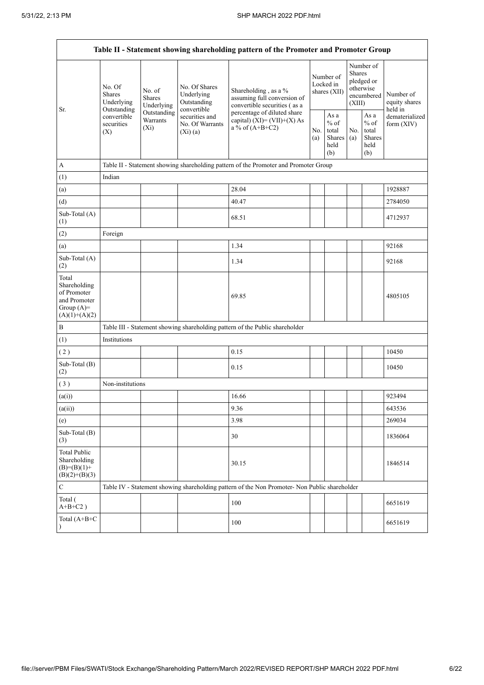|                                                                                         |                                                      |                                       |                                                           | Table II - Statement showing shareholding pattern of the Promoter and Promoter Group          |            |                                                   |                  |                                                    |                                       |
|-----------------------------------------------------------------------------------------|------------------------------------------------------|---------------------------------------|-----------------------------------------------------------|-----------------------------------------------------------------------------------------------|------------|---------------------------------------------------|------------------|----------------------------------------------------|---------------------------------------|
| Sr.                                                                                     | No. Of<br><b>Shares</b><br>Underlying<br>Outstanding | No. of<br><b>Shares</b><br>Underlying | No. Of Shares<br>Underlying<br>Outstanding<br>convertible | Shareholding, as a %<br>assuming full conversion of<br>convertible securities (as a           |            | Number of<br>Locked in<br>shares (XII)            | Shares<br>(XIII) | Number of<br>pledged or<br>otherwise<br>encumbered | Number of<br>equity shares<br>held in |
|                                                                                         | convertible<br>securities<br>(X)                     | Outstanding<br>Warrants<br>$(X_i)$    | securities and<br>No. Of Warrants<br>(Xi)(a)              | percentage of diluted share<br>capital) $(XI) = (VII)+(X) As$<br>a % of $(A+B+C2)$            | No.<br>(a) | As a<br>$\%$ of<br>total<br>Shares<br>held<br>(b) | No.<br>(a)       | As a<br>$%$ of<br>total<br>Shares<br>held<br>(b)   | dematerialized<br>form $(XIV)$        |
| A                                                                                       |                                                      |                                       |                                                           | Table II - Statement showing shareholding pattern of the Promoter and Promoter Group          |            |                                                   |                  |                                                    |                                       |
| (1)                                                                                     | Indian                                               |                                       |                                                           |                                                                                               |            |                                                   |                  |                                                    |                                       |
| (a)                                                                                     |                                                      |                                       |                                                           | 28.04                                                                                         |            |                                                   |                  |                                                    | 1928887                               |
| (d)                                                                                     |                                                      |                                       |                                                           | 40.47                                                                                         |            |                                                   |                  |                                                    | 2784050                               |
| Sub-Total (A)<br>(1)                                                                    |                                                      |                                       |                                                           | 68.51                                                                                         |            |                                                   |                  |                                                    | 4712937                               |
| (2)                                                                                     | Foreign                                              |                                       |                                                           |                                                                                               |            |                                                   |                  |                                                    |                                       |
| (a)                                                                                     |                                                      |                                       |                                                           | 1.34                                                                                          |            |                                                   |                  |                                                    | 92168                                 |
| Sub-Total (A)<br>(2)                                                                    |                                                      |                                       |                                                           | 1.34                                                                                          |            |                                                   |                  |                                                    | 92168                                 |
| Total<br>Shareholding<br>of Promoter<br>and Promoter<br>Group $(A)=$<br>$(A)(1)+(A)(2)$ |                                                      |                                       |                                                           | 69.85                                                                                         |            |                                                   |                  |                                                    | 4805105                               |
| B                                                                                       |                                                      |                                       |                                                           | Table III - Statement showing shareholding pattern of the Public shareholder                  |            |                                                   |                  |                                                    |                                       |
| (1)                                                                                     | Institutions                                         |                                       |                                                           |                                                                                               |            |                                                   |                  |                                                    |                                       |
| (2)                                                                                     |                                                      |                                       |                                                           | 0.15                                                                                          |            |                                                   |                  |                                                    | 10450                                 |
| Sub-Total (B)<br>(2)                                                                    |                                                      |                                       |                                                           | 0.15                                                                                          |            |                                                   |                  |                                                    | 10450                                 |
| (3)                                                                                     | Non-institutions                                     |                                       |                                                           |                                                                                               |            |                                                   |                  |                                                    |                                       |
| (a(i))                                                                                  |                                                      |                                       |                                                           | 16.66                                                                                         |            |                                                   |                  |                                                    | 923494                                |
| (a(ii))                                                                                 |                                                      |                                       |                                                           | 9.36                                                                                          |            |                                                   |                  |                                                    | 643536                                |
| (e)                                                                                     |                                                      |                                       |                                                           | 3.98                                                                                          |            |                                                   |                  |                                                    | 269034                                |
| Sub-Total (B)<br>(3)                                                                    |                                                      |                                       |                                                           | 30                                                                                            |            |                                                   |                  |                                                    | 1836064                               |
| <b>Total Public</b><br>Shareholding<br>$(B)= (B)(1) +$<br>$(B)(2)+(B)(3)$               |                                                      |                                       |                                                           | 30.15                                                                                         |            |                                                   |                  |                                                    | 1846514                               |
| ${\bf C}$                                                                               |                                                      |                                       |                                                           | Table IV - Statement showing shareholding pattern of the Non Promoter- Non Public shareholder |            |                                                   |                  |                                                    |                                       |
| Total (<br>$A+B+C2$ )                                                                   |                                                      |                                       |                                                           | 100                                                                                           |            |                                                   |                  |                                                    | 6651619                               |
| Total $(A+B+C)$<br>$\mathcal{E}$                                                        |                                                      |                                       |                                                           | 100                                                                                           |            |                                                   |                  |                                                    | 6651619                               |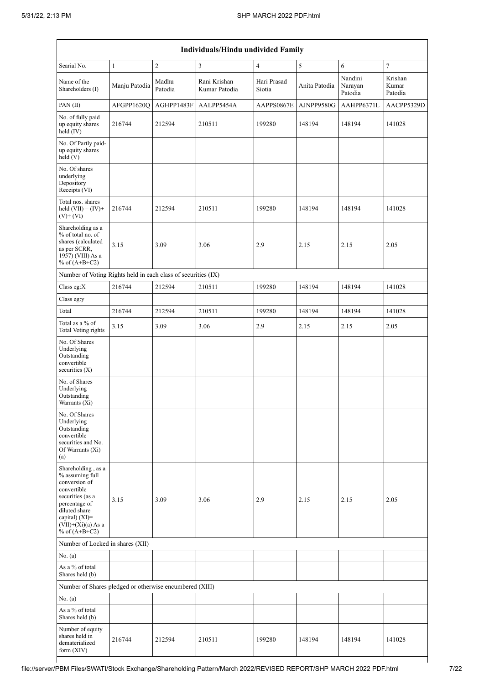|                                                                                                                                                                                          | <b>Individuals/Hindu undivided Family</b> |                  |                               |                       |               |                               |                             |  |  |  |  |  |
|------------------------------------------------------------------------------------------------------------------------------------------------------------------------------------------|-------------------------------------------|------------------|-------------------------------|-----------------------|---------------|-------------------------------|-----------------------------|--|--|--|--|--|
| Searial No.                                                                                                                                                                              | $\mathbf{1}$                              | $\sqrt{2}$       | $\mathfrak{Z}$                | $\overline{4}$        | 5             | 6                             | $\overline{7}$              |  |  |  |  |  |
| Name of the<br>Shareholders (I)                                                                                                                                                          | Manju Patodia                             | Madhu<br>Patodia | Rani Krishan<br>Kumar Patodia | Hari Prasad<br>Siotia | Anita Patodia | Nandini<br>Narayan<br>Patodia | Krishan<br>Kumar<br>Patodia |  |  |  |  |  |
| PAN(II)                                                                                                                                                                                  | AFGPP1620Q                                | AGHPP1483F       | AALPP5454A                    | AAPPS0867E            | AJNPP9580G    | AAHPP6371L                    | AACPP5329D                  |  |  |  |  |  |
| No. of fully paid<br>up equity shares<br>held $(IV)$                                                                                                                                     | 216744                                    | 212594           | 210511                        | 199280                | 148194        | 148194                        | 141028                      |  |  |  |  |  |
| No. Of Partly paid-<br>up equity shares<br>held(V)                                                                                                                                       |                                           |                  |                               |                       |               |                               |                             |  |  |  |  |  |
| No. Of shares<br>underlying<br>Depository<br>Receipts (VI)                                                                                                                               |                                           |                  |                               |                       |               |                               |                             |  |  |  |  |  |
| Total nos. shares<br>held $(VII) = (IV) +$<br>$(V)$ + $(VI)$                                                                                                                             | 216744                                    | 212594           | 210511                        | 199280                | 148194        | 148194                        | 141028                      |  |  |  |  |  |
| Shareholding as a<br>% of total no. of<br>shares (calculated<br>as per SCRR,<br>1957) (VIII) As a<br>% of $(A+B+C2)$                                                                     | 3.15                                      | 3.09             | 3.06                          | 2.9                   | 2.15          | 2.15                          | 2.05                        |  |  |  |  |  |
| Number of Voting Rights held in each class of securities (IX)                                                                                                                            |                                           |                  |                               |                       |               |                               |                             |  |  |  |  |  |
| Class eg:X                                                                                                                                                                               | 216744                                    | 212594           | 210511                        | 199280                | 148194        | 148194                        | 141028                      |  |  |  |  |  |
| Class eg:y                                                                                                                                                                               |                                           |                  |                               |                       |               |                               |                             |  |  |  |  |  |
| Total<br>Total as a % of                                                                                                                                                                 | 216744                                    | 212594           | 210511                        | 199280                | 148194        | 148194                        | 141028                      |  |  |  |  |  |
| <b>Total Voting rights</b>                                                                                                                                                               | 3.15                                      | 3.09             | 3.06                          | 2.9                   | 2.15          | 2.15                          | 2.05                        |  |  |  |  |  |
| No. Of Shares<br>Underlying<br>Outstanding<br>convertible<br>securities (X)                                                                                                              |                                           |                  |                               |                       |               |                               |                             |  |  |  |  |  |
| No. of Shares<br>Underlying<br>Outstanding<br>Warrants (Xi)                                                                                                                              |                                           |                  |                               |                       |               |                               |                             |  |  |  |  |  |
| No. Of Shares<br>Underlying<br>Outstanding<br>convertible<br>securities and No.<br>Of Warrants (Xi)<br>(a)                                                                               |                                           |                  |                               |                       |               |                               |                             |  |  |  |  |  |
| Shareholding, as a<br>% assuming full<br>conversion of<br>convertible<br>securities (as a<br>percentage of<br>diluted share<br>capital) (XI)=<br>$(VII)+(Xi)(a)$ As a<br>% of $(A+B+C2)$ | 3.15                                      | 3.09             | 3.06                          | 2.9                   | 2.15          | 2.15                          | 2.05                        |  |  |  |  |  |
| Number of Locked in shares (XII)                                                                                                                                                         |                                           |                  |                               |                       |               |                               |                             |  |  |  |  |  |
| No. (a)                                                                                                                                                                                  |                                           |                  |                               |                       |               |                               |                             |  |  |  |  |  |
| As a % of total<br>Shares held (b)                                                                                                                                                       |                                           |                  |                               |                       |               |                               |                             |  |  |  |  |  |
| Number of Shares pledged or otherwise encumbered (XIII)                                                                                                                                  |                                           |                  |                               |                       |               |                               |                             |  |  |  |  |  |
| No. (a)                                                                                                                                                                                  |                                           |                  |                               |                       |               |                               |                             |  |  |  |  |  |
| As a % of total<br>Shares held (b)                                                                                                                                                       |                                           |                  |                               |                       |               |                               |                             |  |  |  |  |  |
| Number of equity<br>shares held in<br>dematerialized<br>form (XIV)                                                                                                                       | 216744                                    | 212594           | 210511                        | 199280                | 148194        | 148194                        | 141028                      |  |  |  |  |  |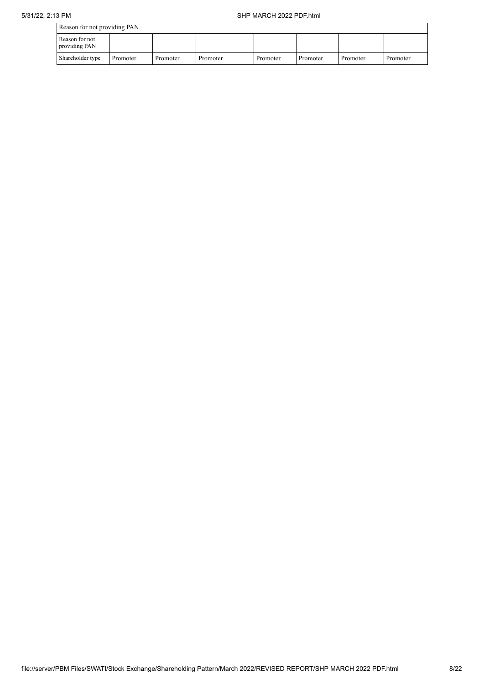| Reason for not providing PAN    |          |          |          |          |          |          |          |
|---------------------------------|----------|----------|----------|----------|----------|----------|----------|
| Reason for not<br>providing PAN |          |          |          |          |          |          |          |
| Shareholder type                | Promoter | Promoter | Promoter | Promoter | Promoter | Promoter | Promoter |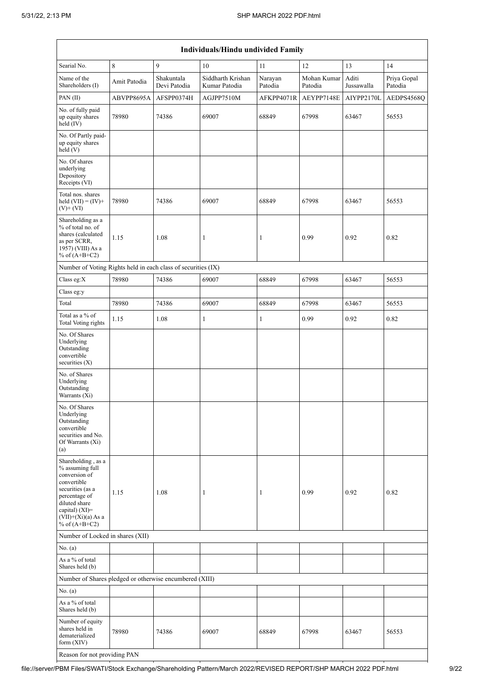|                                                                                                                                                                                          |              |                            | Individuals/Hindu undivided Family |                    |                        |                     |                        |
|------------------------------------------------------------------------------------------------------------------------------------------------------------------------------------------|--------------|----------------------------|------------------------------------|--------------------|------------------------|---------------------|------------------------|
| Searial No.                                                                                                                                                                              | 8            | 9                          | 10                                 | 11                 | 12                     | 13                  | 14                     |
| Name of the<br>Shareholders (I)                                                                                                                                                          | Amit Patodia | Shakuntala<br>Devi Patodia | Siddharth Krishan<br>Kumar Patodia | Narayan<br>Patodia | Mohan Kumar<br>Patodia | Aditi<br>Jussawalla | Priya Gopal<br>Patodia |
| PAN(II)                                                                                                                                                                                  | ABVPP8695A   | AFSPP0374H                 | AGJPP7510M                         | AFKPP4071R         | AEYPP7148E             | AIYPP2170L          | AEDPS4568Q             |
| No. of fully paid<br>up equity shares<br>held (IV)                                                                                                                                       | 78980        | 74386                      | 69007                              | 68849              | 67998                  | 63467               | 56553                  |
| No. Of Partly paid-<br>up equity shares<br>$\hat{hel}$ (V)                                                                                                                               |              |                            |                                    |                    |                        |                     |                        |
| No. Of shares<br>underlying<br>Depository<br>Receipts (VI)                                                                                                                               |              |                            |                                    |                    |                        |                     |                        |
| Total nos. shares<br>held $(VII) = (IV) +$<br>$(V)+(VI)$                                                                                                                                 | 78980        | 74386                      | 69007                              | 68849              | 67998                  | 63467               | 56553                  |
| Shareholding as a<br>% of total no. of<br>shares (calculated<br>as per SCRR,<br>1957) (VIII) As a<br>% of $(A+B+C2)$                                                                     | 1.15         | 1.08                       | $\mathbf{1}$                       | 1                  | 0.99                   | 0.92                | 0.82                   |
| Number of Voting Rights held in each class of securities (IX)                                                                                                                            |              |                            |                                    |                    |                        |                     |                        |
| Class eg:X                                                                                                                                                                               | 78980        | 74386                      | 69007                              | 68849              | 67998                  | 63467               | 56553                  |
| Class eg:y                                                                                                                                                                               |              |                            |                                    |                    |                        |                     |                        |
| Total                                                                                                                                                                                    | 78980        | 74386                      | 69007                              | 68849              | 67998                  | 63467               | 56553                  |
| Total as a % of<br><b>Total Voting rights</b>                                                                                                                                            | 1.15         | 1.08                       | $\mathbf{1}$                       | $\mathbf{1}$       | 0.99                   | 0.92                | 0.82                   |
| No. Of Shares<br>Underlying<br>Outstanding<br>convertible<br>securities (X)                                                                                                              |              |                            |                                    |                    |                        |                     |                        |
| No. of Shares<br>Underlying<br>Outstanding<br>Warrants (Xi)                                                                                                                              |              |                            |                                    |                    |                        |                     |                        |
| No. Of Shares<br>Underlying<br>Outstanding<br>convertible<br>securities and No.<br>Of Warrants (Xi)<br>(a)                                                                               |              |                            |                                    |                    |                        |                     |                        |
| Shareholding, as a<br>% assuming full<br>conversion of<br>convertible<br>securities (as a<br>percentage of<br>diluted share<br>capital) (XI)=<br>$(VII)+(Xi)(a)$ As a<br>% of $(A+B+C2)$ | 1.15         | 1.08                       | 1                                  | 1                  | 0.99                   | 0.92                | 0.82                   |
| Number of Locked in shares (XII)                                                                                                                                                         |              |                            |                                    |                    |                        |                     |                        |
| No. (a)                                                                                                                                                                                  |              |                            |                                    |                    |                        |                     |                        |
| As a % of total<br>Shares held (b)                                                                                                                                                       |              |                            |                                    |                    |                        |                     |                        |
| Number of Shares pledged or otherwise encumbered (XIII)                                                                                                                                  |              |                            |                                    |                    |                        |                     |                        |
| No. (a)                                                                                                                                                                                  |              |                            |                                    |                    |                        |                     |                        |
| As a % of total<br>Shares held (b)                                                                                                                                                       |              |                            |                                    |                    |                        |                     |                        |
| Number of equity<br>shares held in<br>dematerialized<br>form $(XIV)$                                                                                                                     | 78980        | 74386                      | 69007                              | 68849              | 67998                  | 63467               | 56553                  |
| Reason for not providing PAN                                                                                                                                                             |              |                            |                                    |                    |                        |                     |                        |

file://server/PBM Files/SWATI/Stock Exchange/Shareholding Pattern/March 2022/REVISED REPORT/SHP MARCH 2022 PDF.html 9/22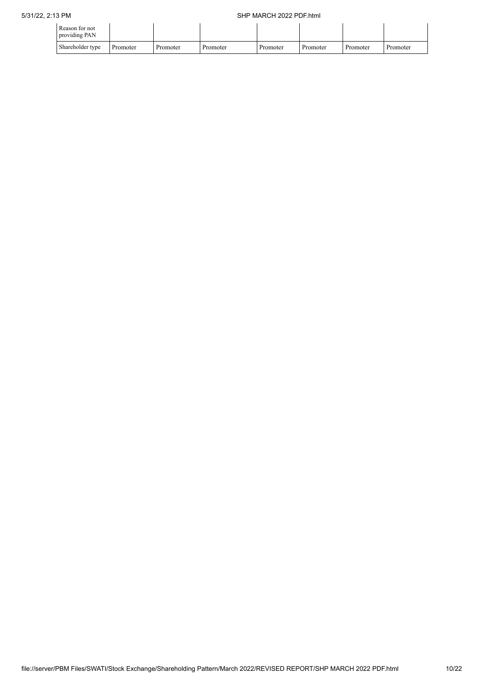| Reason for not<br>providing PAN |          |          |          |          |          |          |          |
|---------------------------------|----------|----------|----------|----------|----------|----------|----------|
| Shareholder type                | Promoter | Promoter | Promoter | Promoter | Promoter | Promoter | Promoter |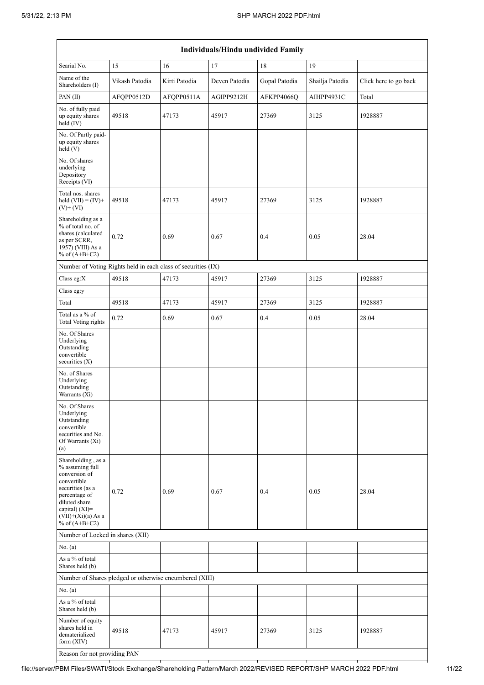|                                                                                                                                                                                          | Individuals/Hindu undivided Family                            |               |               |               |                 |                       |  |  |  |  |  |  |  |  |
|------------------------------------------------------------------------------------------------------------------------------------------------------------------------------------------|---------------------------------------------------------------|---------------|---------------|---------------|-----------------|-----------------------|--|--|--|--|--|--|--|--|
| Searial No.                                                                                                                                                                              | 17<br>19<br>15<br>16<br>18                                    |               |               |               |                 |                       |  |  |  |  |  |  |  |  |
| Name of the<br>Shareholders (I)                                                                                                                                                          | Vikash Patodia                                                | Kirti Patodia | Deven Patodia | Gopal Patodia | Shailja Patodia | Click here to go back |  |  |  |  |  |  |  |  |
| PAN(II)                                                                                                                                                                                  | AFQPP0512D                                                    | AFQPP0511A    | AGIPP9212H    | AFKPP4066Q    | AIHPP4931C      | Total                 |  |  |  |  |  |  |  |  |
| No. of fully paid<br>up equity shares<br>held (IV)                                                                                                                                       | 49518                                                         | 47173         | 45917         | 27369         | 3125            | 1928887               |  |  |  |  |  |  |  |  |
| No. Of Partly paid-<br>up equity shares<br>held (V)                                                                                                                                      |                                                               |               |               |               |                 |                       |  |  |  |  |  |  |  |  |
| No. Of shares<br>underlying<br>Depository<br>Receipts (VI)                                                                                                                               |                                                               |               |               |               |                 |                       |  |  |  |  |  |  |  |  |
| Total nos. shares<br>held $(VII) = (IV) +$<br>$(V)$ + $(VI)$                                                                                                                             | 49518                                                         | 47173         | 45917         | 27369         | 3125            | 1928887               |  |  |  |  |  |  |  |  |
| Shareholding as a<br>% of total no. of<br>shares (calculated<br>as per SCRR,<br>1957) (VIII) As a<br>% of $(A+B+C2)$                                                                     | 0.72                                                          | 0.69          | 0.67          | 0.4           | 0.05            | 28.04                 |  |  |  |  |  |  |  |  |
|                                                                                                                                                                                          | Number of Voting Rights held in each class of securities (IX) |               |               |               |                 |                       |  |  |  |  |  |  |  |  |
| Class eg:X                                                                                                                                                                               | 49518                                                         | 47173         | 45917         | 27369         | 3125            | 1928887               |  |  |  |  |  |  |  |  |
| Class eg:y                                                                                                                                                                               |                                                               |               |               |               |                 |                       |  |  |  |  |  |  |  |  |
| Total                                                                                                                                                                                    | 49518                                                         | 47173         | 45917         | 27369         | 3125            | 1928887               |  |  |  |  |  |  |  |  |
| Total as a % of<br><b>Total Voting rights</b>                                                                                                                                            | 0.72                                                          | 0.69          | 0.67          | 0.4           | 0.05            | 28.04                 |  |  |  |  |  |  |  |  |
| No. Of Shares<br>Underlying<br>Outstanding<br>convertible<br>securities (X)                                                                                                              |                                                               |               |               |               |                 |                       |  |  |  |  |  |  |  |  |
| No. of Shares<br>Underlying<br>Outstanding<br>Warrants (Xi)                                                                                                                              |                                                               |               |               |               |                 |                       |  |  |  |  |  |  |  |  |
| No. Of Shares<br>Underlying<br>Outstanding<br>convertible<br>securities and No.<br>Of Warrants (Xi)<br>(a)                                                                               |                                                               |               |               |               |                 |                       |  |  |  |  |  |  |  |  |
| Shareholding, as a<br>% assuming full<br>conversion of<br>convertible<br>securities (as a<br>percentage of<br>diluted share<br>capital) (XI)=<br>$(VII)+(Xi)(a)$ As a<br>% of $(A+B+C2)$ | 0.72                                                          | 0.69          | 0.67          | 0.4           | 0.05            | 28.04                 |  |  |  |  |  |  |  |  |
| Number of Locked in shares (XII)                                                                                                                                                         |                                                               |               |               |               |                 |                       |  |  |  |  |  |  |  |  |
| No. (a)                                                                                                                                                                                  |                                                               |               |               |               |                 |                       |  |  |  |  |  |  |  |  |
| As a % of total<br>Shares held (b)                                                                                                                                                       |                                                               |               |               |               |                 |                       |  |  |  |  |  |  |  |  |
|                                                                                                                                                                                          | Number of Shares pledged or otherwise encumbered (XIII)       |               |               |               |                 |                       |  |  |  |  |  |  |  |  |
| No. (a)                                                                                                                                                                                  |                                                               |               |               |               |                 |                       |  |  |  |  |  |  |  |  |
| As a % of total<br>Shares held (b)                                                                                                                                                       |                                                               |               |               |               |                 |                       |  |  |  |  |  |  |  |  |
| Number of equity<br>shares held in<br>dematerialized<br>form (XIV)                                                                                                                       | 49518                                                         | 47173         | 45917         | 27369         | 3125            | 1928887               |  |  |  |  |  |  |  |  |
| Reason for not providing PAN                                                                                                                                                             |                                                               |               |               |               |                 |                       |  |  |  |  |  |  |  |  |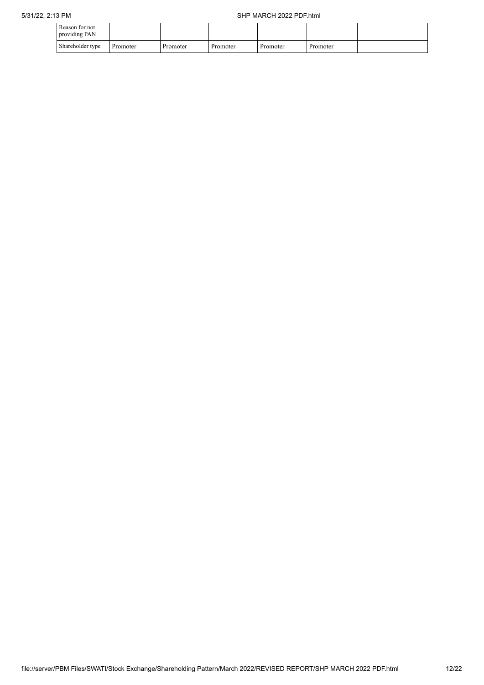| Reason for not<br>providing PAN |          |          |          |          |          |  |
|---------------------------------|----------|----------|----------|----------|----------|--|
| Shareholder type                | Promoter | Promoter | Promoter | Promoter | Promoter |  |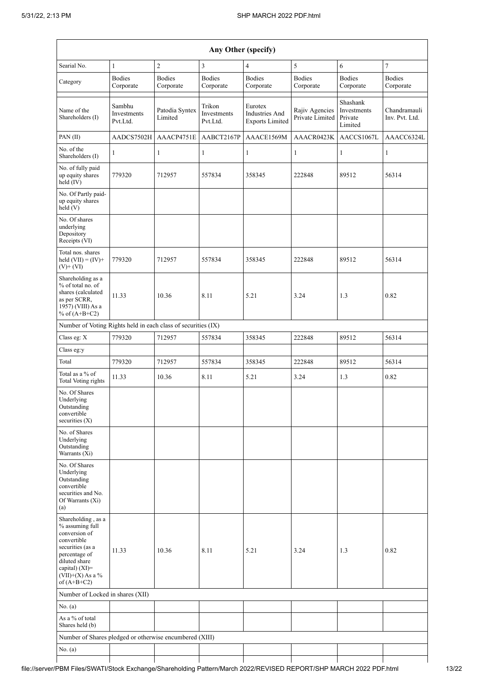| Any Other (specify)                                                                                                                                                                  |                                   |                            |                                   |                                                     |                                   |                                               |                                |
|--------------------------------------------------------------------------------------------------------------------------------------------------------------------------------------|-----------------------------------|----------------------------|-----------------------------------|-----------------------------------------------------|-----------------------------------|-----------------------------------------------|--------------------------------|
| Searial No.                                                                                                                                                                          | 1                                 | $\overline{c}$             | 3                                 | $\overline{4}$                                      | 5                                 | 6                                             | $\tau$                         |
| Category                                                                                                                                                                             | <b>Bodies</b><br>Corporate        | <b>Bodies</b><br>Corporate | <b>Bodies</b><br>Corporate        | <b>Bodies</b><br>Corporate                          | <b>Bodies</b><br>Corporate        | <b>Bodies</b><br>Corporate                    | <b>Bodies</b><br>Corporate     |
| Name of the<br>Shareholders (I)                                                                                                                                                      | Sambhu<br>Investments<br>Pvt.Ltd. | Patodia Syntex<br>Limited  | Trikon<br>Investments<br>Pvt.Ltd. | Eurotex<br>Industries And<br><b>Exports Limited</b> | Rajiv Agencies<br>Private Limited | Shashank<br>Investments<br>Private<br>Limited | Chandramauli<br>Inv. Pvt. Ltd. |
| PAN(II)                                                                                                                                                                              | AADCS7502H                        | AAACP4751E                 | AABCT2167P                        | AAACE1569M                                          | AAACR0423K                        | AACCS1067L                                    | AAACC6324L                     |
| No. of the<br>Shareholders (I)                                                                                                                                                       | 1                                 | 1                          | $\mathbf{1}$                      | $\mathbf{1}$                                        | $\mathbf{1}$                      | $\mathbf{1}$                                  | 1                              |
| No. of fully paid<br>up equity shares<br>held (IV)                                                                                                                                   | 779320                            | 712957                     | 557834                            | 358345                                              | 222848                            | 89512                                         | 56314                          |
| No. Of Partly paid-<br>up equity shares<br>held(V)                                                                                                                                   |                                   |                            |                                   |                                                     |                                   |                                               |                                |
| No. Of shares<br>underlying<br>Depository<br>Receipts (VI)                                                                                                                           |                                   |                            |                                   |                                                     |                                   |                                               |                                |
| Total nos. shares<br>held $(VII) = (IV) +$<br>$(V)$ + $(VI)$                                                                                                                         | 779320                            | 712957                     | 557834                            | 358345                                              | 222848                            | 89512                                         | 56314                          |
| Shareholding as a<br>% of total no. of<br>shares (calculated<br>as per SCRR,<br>1957) (VIII) As a<br>% of $(A+B+C2)$                                                                 | 11.33                             | 10.36                      | 8.11                              | 5.21                                                | 3.24                              | 1.3                                           | 0.82                           |
| Number of Voting Rights held in each class of securities (IX)                                                                                                                        |                                   |                            |                                   |                                                     |                                   |                                               |                                |
| Class eg: X                                                                                                                                                                          | 779320                            | 712957                     | 557834                            | 358345                                              | 222848                            | 89512                                         | 56314                          |
| Class eg:y                                                                                                                                                                           |                                   |                            |                                   |                                                     |                                   |                                               |                                |
| Total                                                                                                                                                                                | 779320                            | 712957                     | 557834                            | 358345                                              | 222848                            | 89512                                         | 56314                          |
| Total as a % of<br><b>Total Voting rights</b>                                                                                                                                        | 11.33                             | 10.36                      | 8.11                              | 5.21                                                | 3.24                              | 1.3                                           | 0.82                           |
| No. Of Shares<br>Underlying<br>Outstanding<br>convertible<br>securities $(X)$                                                                                                        |                                   |                            |                                   |                                                     |                                   |                                               |                                |
| No. of Shares<br>Underlying<br>Outstanding<br>Warrants (Xi)                                                                                                                          |                                   |                            |                                   |                                                     |                                   |                                               |                                |
| No. Of Shares<br>Underlying<br>Outstanding<br>convertible<br>securities and No.<br>Of Warrants (Xi)<br>(a)                                                                           |                                   |                            |                                   |                                                     |                                   |                                               |                                |
| Shareholding, as a<br>% assuming full<br>conversion of<br>convertible<br>securities (as a<br>percentage of<br>diluted share<br>capital) (XI)=<br>$(VII)+(X)$ As a %<br>of $(A+B+C2)$ | 11.33                             | 10.36                      | 8.11                              | 5.21                                                | 3.24                              | 1.3                                           | 0.82                           |
| Number of Locked in shares (XII)                                                                                                                                                     |                                   |                            |                                   |                                                     |                                   |                                               |                                |
| No. (a)                                                                                                                                                                              |                                   |                            |                                   |                                                     |                                   |                                               |                                |
| As a $\%$ of total<br>Shares held (b)                                                                                                                                                |                                   |                            |                                   |                                                     |                                   |                                               |                                |
| Number of Shares pledged or otherwise encumbered (XIII)                                                                                                                              |                                   |                            |                                   |                                                     |                                   |                                               |                                |
| No. (a)                                                                                                                                                                              |                                   |                            |                                   |                                                     |                                   |                                               |                                |
|                                                                                                                                                                                      |                                   |                            |                                   |                                                     |                                   |                                               |                                |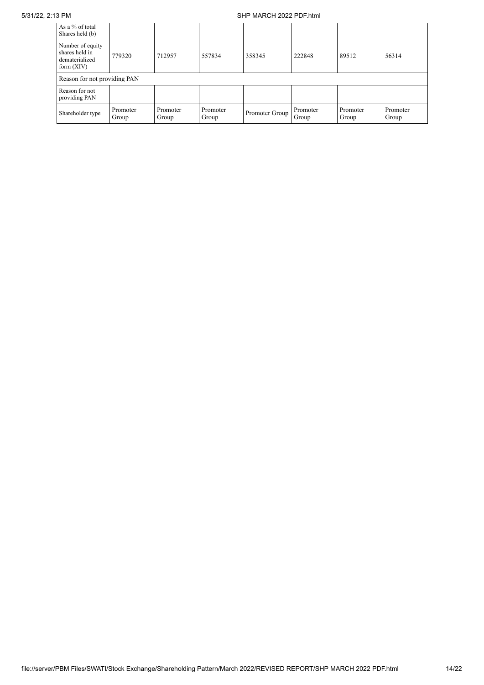## 5/31/22, 2:13 PM SHP MARCH 2022 PDF.html

| As a % of total<br>Shares held (b)                                   |                   |                   |                   |                |                   |                   |                   |
|----------------------------------------------------------------------|-------------------|-------------------|-------------------|----------------|-------------------|-------------------|-------------------|
| Number of equity<br>shares held in<br>dematerialized<br>form $(XIV)$ | 779320            | 712957            | 557834            | 358345         | 222848            | 89512             | 56314             |
| Reason for not providing PAN                                         |                   |                   |                   |                |                   |                   |                   |
| Reason for not<br>providing PAN                                      |                   |                   |                   |                |                   |                   |                   |
| Shareholder type                                                     | Promoter<br>Group | Promoter<br>Group | Promoter<br>Group | Promoter Group | Promoter<br>Group | Promoter<br>Group | Promoter<br>Group |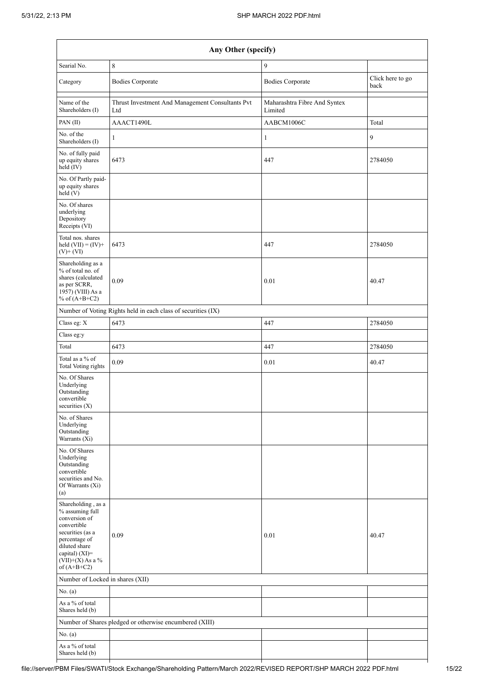| Any Other (specify)                                                                                                                                                                  |                                                               |                                         |                          |  |  |  |  |
|--------------------------------------------------------------------------------------------------------------------------------------------------------------------------------------|---------------------------------------------------------------|-----------------------------------------|--------------------------|--|--|--|--|
| Searial No.                                                                                                                                                                          | $\,8\,$                                                       | 9                                       |                          |  |  |  |  |
| Category                                                                                                                                                                             | <b>Bodies Corporate</b>                                       | <b>Bodies Corporate</b>                 | Click here to go<br>back |  |  |  |  |
| Name of the<br>Shareholders (I)                                                                                                                                                      | Thrust Investment And Management Consultants Pvt<br>Ltd       | Maharashtra Fibre And Syntex<br>Limited |                          |  |  |  |  |
| PAN(II)                                                                                                                                                                              | AAACT1490L                                                    | AABCM1006C                              | Total                    |  |  |  |  |
| No. of the<br>Shareholders (I)                                                                                                                                                       | 1                                                             | $\mathbf{1}$                            | 9                        |  |  |  |  |
| No. of fully paid<br>up equity shares<br>held (IV)                                                                                                                                   | 6473                                                          | 447                                     | 2784050                  |  |  |  |  |
| No. Of Partly paid-<br>up equity shares<br>held (V)                                                                                                                                  |                                                               |                                         |                          |  |  |  |  |
| No. Of shares<br>underlying<br>Depository<br>Receipts (VI)                                                                                                                           |                                                               |                                         |                          |  |  |  |  |
| Total nos. shares<br>held $(VII) = (IV) +$<br>$(V)$ + $(VI)$                                                                                                                         | 6473                                                          | 447                                     | 2784050                  |  |  |  |  |
| Shareholding as a<br>% of total no. of<br>shares (calculated<br>as per SCRR,<br>1957) (VIII) As a<br>% of $(A+B+C2)$                                                                 | 0.09                                                          | 0.01                                    | 40.47                    |  |  |  |  |
|                                                                                                                                                                                      | Number of Voting Rights held in each class of securities (IX) |                                         |                          |  |  |  |  |
| Class eg: X                                                                                                                                                                          | 6473                                                          | 447                                     | 2784050                  |  |  |  |  |
| Class eg:y                                                                                                                                                                           |                                                               |                                         |                          |  |  |  |  |
| Total                                                                                                                                                                                | 6473                                                          | 447                                     | 2784050                  |  |  |  |  |
| Total as a $\%$ of<br><b>Total Voting rights</b>                                                                                                                                     | 0.09                                                          | $0.01\,$                                | 40.47                    |  |  |  |  |
| No. Of Shares<br>Underlying<br>Outstanding<br>convertible<br>securities (X)                                                                                                          |                                                               |                                         |                          |  |  |  |  |
| No. of Shares<br>Underlying<br>Outstanding<br>Warrants (Xi)                                                                                                                          |                                                               |                                         |                          |  |  |  |  |
| No. Of Shares<br>Underlying<br>Outstanding<br>convertible<br>securities and No.<br>Of Warrants (Xi)<br>(a)                                                                           |                                                               |                                         |                          |  |  |  |  |
| Shareholding, as a<br>% assuming full<br>conversion of<br>convertible<br>securities (as a<br>percentage of<br>diluted share<br>capital) (XI)=<br>$(VII)+(X)$ As a %<br>of $(A+B+C2)$ | 0.09                                                          | 0.01                                    | 40.47                    |  |  |  |  |
| Number of Locked in shares (XII)                                                                                                                                                     |                                                               |                                         |                          |  |  |  |  |
| No. (a)                                                                                                                                                                              |                                                               |                                         |                          |  |  |  |  |
| As a % of total<br>Shares held (b)                                                                                                                                                   |                                                               |                                         |                          |  |  |  |  |
|                                                                                                                                                                                      | Number of Shares pledged or otherwise encumbered (XIII)       |                                         |                          |  |  |  |  |
| No. (a)                                                                                                                                                                              |                                                               |                                         |                          |  |  |  |  |
| As a % of total<br>Shares held (b)                                                                                                                                                   |                                                               |                                         |                          |  |  |  |  |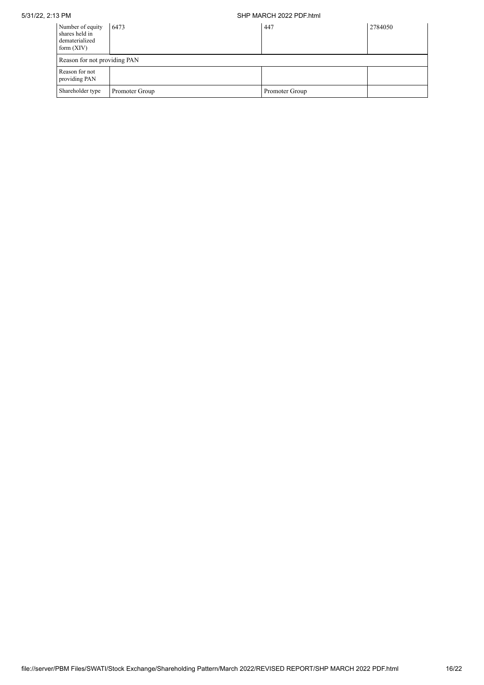## 5/31/22, 2:13 PM SHP MARCH 2022 PDF.html

| Number of equity<br>shares held in<br>dematerialized<br>form $(XIV)$ | 6473           | 447            | 2784050 |
|----------------------------------------------------------------------|----------------|----------------|---------|
| Reason for not providing PAN                                         |                |                |         |
| Reason for not<br>providing PAN                                      |                |                |         |
| Shareholder type                                                     | Promoter Group | Promoter Group |         |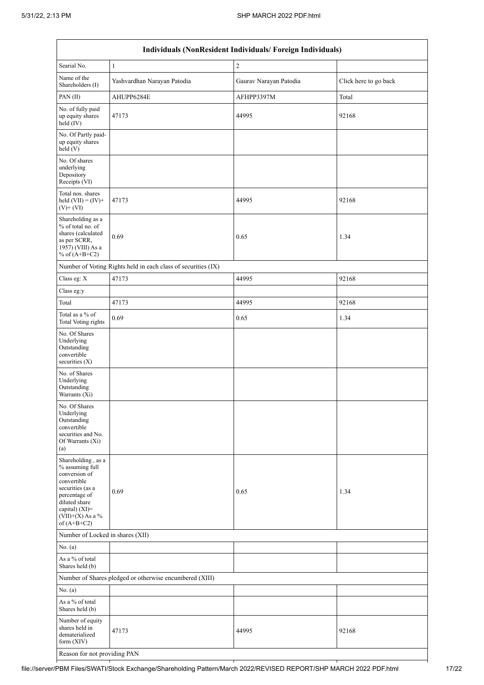$\mathbf{r}$ 

| Individuals (NonResident Individuals/Foreign Individuals)                                                                                                                            |                                                               |                        |                       |  |  |  |  |  |
|--------------------------------------------------------------------------------------------------------------------------------------------------------------------------------------|---------------------------------------------------------------|------------------------|-----------------------|--|--|--|--|--|
| Searial No.                                                                                                                                                                          | $\,1$                                                         | $\sqrt{2}$             |                       |  |  |  |  |  |
| Name of the<br>Shareholders (I)                                                                                                                                                      | Yashvardhan Narayan Patodia                                   | Gaurav Narayan Patodia | Click here to go back |  |  |  |  |  |
| PAN(II)                                                                                                                                                                              | AHUPP6284E                                                    | AFHPP3397M             | Total                 |  |  |  |  |  |
| No. of fully paid<br>up equity shares<br>held (IV)                                                                                                                                   | 47173                                                         | 44995                  | 92168                 |  |  |  |  |  |
| No. Of Partly paid-<br>up equity shares<br>held (V)                                                                                                                                  |                                                               |                        |                       |  |  |  |  |  |
| No. Of shares<br>underlying<br>Depository<br>Receipts (VI)                                                                                                                           |                                                               |                        |                       |  |  |  |  |  |
| Total nos. shares<br>held $(VII) = (IV) +$<br>$(V)$ + $(VI)$                                                                                                                         | 47173                                                         | 44995                  | 92168                 |  |  |  |  |  |
| Shareholding as a<br>% of total no. of<br>shares (calculated<br>as per SCRR,<br>1957) (VIII) As a<br>% of $(A+B+C2)$                                                                 | 0.69                                                          | 0.65                   | 1.34                  |  |  |  |  |  |
|                                                                                                                                                                                      | Number of Voting Rights held in each class of securities (IX) |                        |                       |  |  |  |  |  |
| Class eg: X                                                                                                                                                                          | 47173                                                         | 44995                  | 92168                 |  |  |  |  |  |
| Class eg:y                                                                                                                                                                           |                                                               |                        |                       |  |  |  |  |  |
| Total                                                                                                                                                                                | 47173                                                         | 44995                  | 92168                 |  |  |  |  |  |
| Total as a % of<br><b>Total Voting rights</b>                                                                                                                                        | 0.69                                                          | 0.65                   | 1.34                  |  |  |  |  |  |
| No. Of Shares<br>Underlying<br>Outstanding<br>convertible<br>securities $(X)$                                                                                                        |                                                               |                        |                       |  |  |  |  |  |
| No. of Shares<br>Underlying<br>Outstanding<br>Warrants (Xi)                                                                                                                          |                                                               |                        |                       |  |  |  |  |  |
| No. Of Shares<br>Underlying<br>Outstanding<br>convertible<br>securities and No.<br>Of Warrants (Xi)<br>(a)                                                                           |                                                               |                        |                       |  |  |  |  |  |
| Shareholding, as a<br>% assuming full<br>conversion of<br>convertible<br>securities (as a<br>percentage of<br>diluted share<br>capital) (XI)=<br>$(VII)+(X)$ As a %<br>of $(A+B+C2)$ | 0.69                                                          | 0.65                   | 1.34                  |  |  |  |  |  |
| Number of Locked in shares (XII)                                                                                                                                                     |                                                               |                        |                       |  |  |  |  |  |
| No. (a)                                                                                                                                                                              |                                                               |                        |                       |  |  |  |  |  |
| As a % of total<br>Shares held (b)                                                                                                                                                   |                                                               |                        |                       |  |  |  |  |  |
|                                                                                                                                                                                      | Number of Shares pledged or otherwise encumbered (XIII)       |                        |                       |  |  |  |  |  |
| No. (a)                                                                                                                                                                              |                                                               |                        |                       |  |  |  |  |  |
| As a % of total<br>Shares held (b)                                                                                                                                                   |                                                               |                        |                       |  |  |  |  |  |
| Number of equity<br>shares held in<br>dematerialized<br>form (XIV)                                                                                                                   | 47173                                                         | 44995                  | 92168                 |  |  |  |  |  |
| Reason for not providing PAN                                                                                                                                                         |                                                               |                        |                       |  |  |  |  |  |

 $\overline{1}$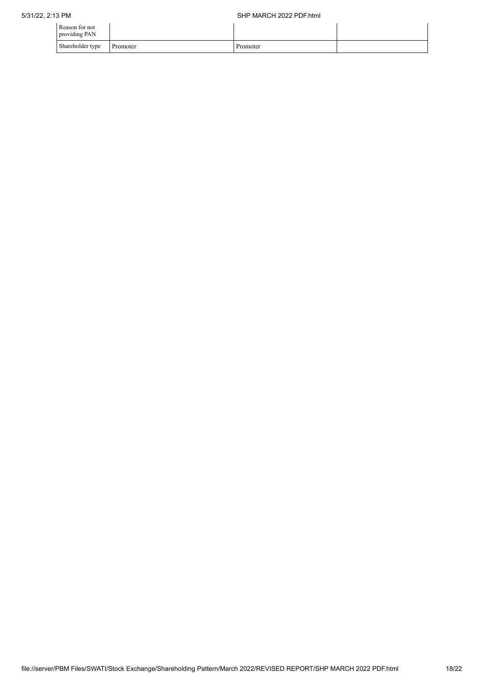| Reason for not<br>providing PAN |          |          |  |
|---------------------------------|----------|----------|--|
| Shareholder type                | Promoter | Promoter |  |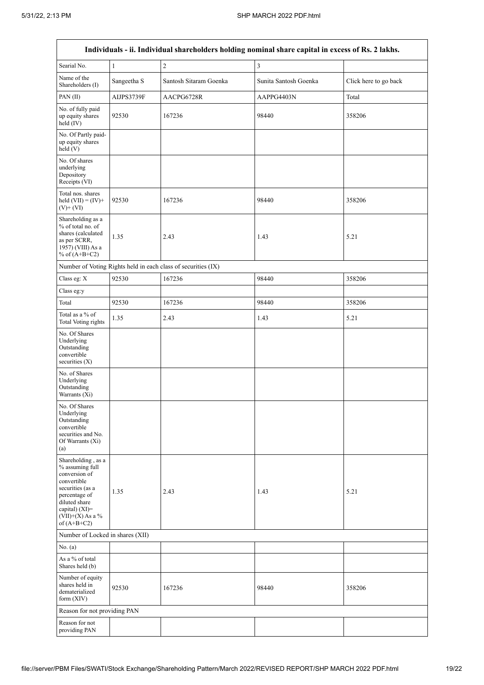$\mathsf{r}$ 

| Individuals - ii. Individual shareholders holding nominal share capital in excess of Rs. 2 lakhs.                                                                                       |              |                                                               |                         |                       |  |  |  |
|-----------------------------------------------------------------------------------------------------------------------------------------------------------------------------------------|--------------|---------------------------------------------------------------|-------------------------|-----------------------|--|--|--|
| Searial No.                                                                                                                                                                             | $\mathbf{1}$ | $\sqrt{2}$                                                    | $\overline{\mathbf{3}}$ |                       |  |  |  |
| Name of the<br>Shareholders (I)                                                                                                                                                         | Sangeetha S  | Santosh Sitaram Goenka                                        | Sunita Santosh Goenka   | Click here to go back |  |  |  |
| PAN(II)                                                                                                                                                                                 | AIJPS3739F   | AACPG6728R                                                    | AAPPG4403N              | Total                 |  |  |  |
| No. of fully paid<br>up equity shares<br>held (IV)                                                                                                                                      | 92530        | 167236                                                        | 98440                   | 358206                |  |  |  |
| No. Of Partly paid-<br>up equity shares<br>held(V)                                                                                                                                      |              |                                                               |                         |                       |  |  |  |
| No. Of shares<br>underlying<br>Depository<br>Receipts (VI)                                                                                                                              |              |                                                               |                         |                       |  |  |  |
| Total nos. shares<br>held $(VII) = (IV) +$<br>$(V)+(VI)$                                                                                                                                | 92530        | 167236                                                        | 98440                   | 358206                |  |  |  |
| Shareholding as a<br>% of total no. of<br>shares (calculated<br>as per SCRR,<br>1957) (VIII) As a<br>% of $(A+B+C2)$                                                                    | 1.35         | 2.43                                                          | 1.43                    | 5.21                  |  |  |  |
|                                                                                                                                                                                         |              | Number of Voting Rights held in each class of securities (IX) |                         |                       |  |  |  |
| Class eg: X                                                                                                                                                                             | 92530        | 167236                                                        | 98440                   | 358206                |  |  |  |
| Class eg:y                                                                                                                                                                              |              |                                                               |                         |                       |  |  |  |
| Total                                                                                                                                                                                   | 92530        | 167236                                                        | 98440                   | 358206                |  |  |  |
| Total as a % of<br><b>Total Voting rights</b>                                                                                                                                           | 1.35         | 2.43                                                          | 1.43                    | 5.21                  |  |  |  |
| No. Of Shares<br>Underlying<br>Outstanding<br>convertible<br>securities $(X)$                                                                                                           |              |                                                               |                         |                       |  |  |  |
| No. of Shares<br>Underlying<br>Outstanding<br>Warrants (Xi)                                                                                                                             |              |                                                               |                         |                       |  |  |  |
| No. Of Shares<br>Underlying<br>Outstanding<br>convertible<br>securities and No.<br>Of Warrants (Xi)<br>(a)                                                                              |              |                                                               |                         |                       |  |  |  |
| Shareholding, as a<br>% assuming full<br>conversion of<br>convertible<br>securities (as a<br>percentage of<br>diluted share<br>capital) $(XI)$ =<br>$(VII)+(X)$ As a %<br>of $(A+B+C2)$ | 1.35         | 2.43                                                          | 1.43                    | 5.21                  |  |  |  |
| Number of Locked in shares (XII)                                                                                                                                                        |              |                                                               |                         |                       |  |  |  |
| No. $(a)$                                                                                                                                                                               |              |                                                               |                         |                       |  |  |  |
| As a % of total<br>Shares held (b)                                                                                                                                                      |              |                                                               |                         |                       |  |  |  |
| Number of equity<br>shares held in<br>dematerialized<br>form (XIV)                                                                                                                      | 92530        | 167236                                                        | 98440                   | 358206                |  |  |  |
| Reason for not providing PAN                                                                                                                                                            |              |                                                               |                         |                       |  |  |  |
| Reason for not<br>providing PAN                                                                                                                                                         |              |                                                               |                         |                       |  |  |  |

 $\overline{\phantom{a}}$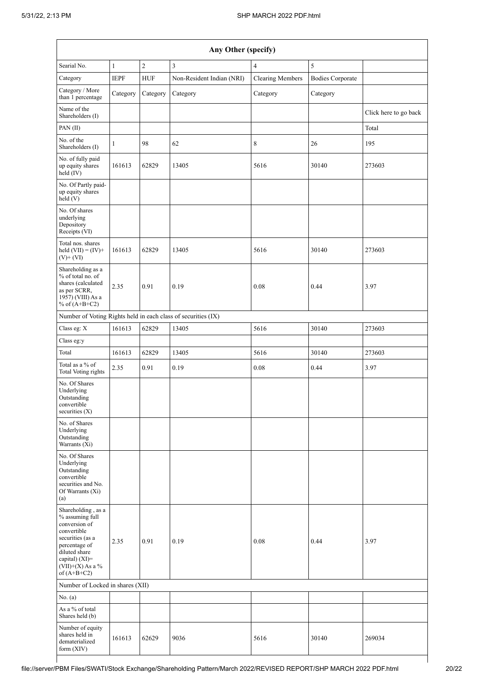| Any Other (specify)                                                                                                                                                                  |              |            |                                                               |                         |                         |                       |  |
|--------------------------------------------------------------------------------------------------------------------------------------------------------------------------------------|--------------|------------|---------------------------------------------------------------|-------------------------|-------------------------|-----------------------|--|
| Searial No.                                                                                                                                                                          | $\mathbf{1}$ | $\sqrt{2}$ | $\overline{3}$                                                | $\overline{4}$          | 5                       |                       |  |
| Category                                                                                                                                                                             | <b>IEPF</b>  | <b>HUF</b> | Non-Resident Indian (NRI)                                     | <b>Clearing Members</b> | <b>Bodies Corporate</b> |                       |  |
| Category / More<br>than 1 percentage                                                                                                                                                 | Category     | Category   | Category                                                      | Category                | Category                |                       |  |
| Name of the<br>Shareholders (I)                                                                                                                                                      |              |            |                                                               |                         |                         | Click here to go back |  |
| PAN(II)                                                                                                                                                                              |              |            |                                                               |                         |                         | Total                 |  |
| No. of the<br>Shareholders (I)                                                                                                                                                       | 1            | 98         | 62                                                            | 8                       | 26                      | 195                   |  |
| No. of fully paid<br>up equity shares<br>held (IV)                                                                                                                                   | 161613       | 62829      | 13405                                                         | 5616                    | 30140                   | 273603                |  |
| No. Of Partly paid-<br>up equity shares<br>held(V)                                                                                                                                   |              |            |                                                               |                         |                         |                       |  |
| No. Of shares<br>underlying<br>Depository<br>Receipts (VI)                                                                                                                           |              |            |                                                               |                         |                         |                       |  |
| Total nos. shares<br>held $(VII) = (IV) +$<br>$(V)$ + $(VI)$                                                                                                                         | 161613       | 62829      | 13405                                                         | 5616                    | 30140                   | 273603                |  |
| Shareholding as a<br>% of total no. of<br>shares (calculated<br>as per SCRR,<br>1957) (VIII) As a<br>% of $(A+B+C2)$                                                                 | 2.35         | 0.91       | 0.19                                                          | 0.08                    | 0.44                    | 3.97                  |  |
|                                                                                                                                                                                      |              |            | Number of Voting Rights held in each class of securities (IX) |                         |                         |                       |  |
| Class eg: X                                                                                                                                                                          | 161613       | 62829      | 13405                                                         | 5616                    | 30140                   | 273603                |  |
| Class eg:y                                                                                                                                                                           |              |            |                                                               |                         |                         |                       |  |
| Total                                                                                                                                                                                | 161613       | 62829      | 13405                                                         | 5616                    | 30140                   | 273603                |  |
| Total as a % of<br><b>Total Voting rights</b>                                                                                                                                        | 2.35         | 0.91       | 0.19                                                          | $0.08\,$                | 0.44                    | 3.97                  |  |
| No. Of Shares<br>Underlying<br>Outstanding<br>convertible<br>securities (X)                                                                                                          |              |            |                                                               |                         |                         |                       |  |
| No. of Shares<br>Underlying<br>Outstanding<br>Warrants (Xi)                                                                                                                          |              |            |                                                               |                         |                         |                       |  |
| No. Of Shares<br>Underlying<br>Outstanding<br>convertible<br>securities and No.<br>Of Warrants (Xi)<br>(a)                                                                           |              |            |                                                               |                         |                         |                       |  |
| Shareholding, as a<br>% assuming full<br>conversion of<br>convertible<br>securities (as a<br>percentage of<br>diluted share<br>capital) (XI)=<br>$(VII)+(X)$ As a %<br>of $(A+B+C2)$ | 2.35         | 0.91       | 0.19                                                          | 0.08                    | 0.44                    | 3.97                  |  |
| Number of Locked in shares (XII)                                                                                                                                                     |              |            |                                                               |                         |                         |                       |  |
| No. (a)                                                                                                                                                                              |              |            |                                                               |                         |                         |                       |  |
| As a % of total<br>Shares held (b)                                                                                                                                                   |              |            |                                                               |                         |                         |                       |  |
| Number of equity<br>shares held in<br>dematerialized<br>form (XIV)                                                                                                                   | 161613       | 62629      | 9036                                                          | 5616                    | 30140                   | 269034                |  |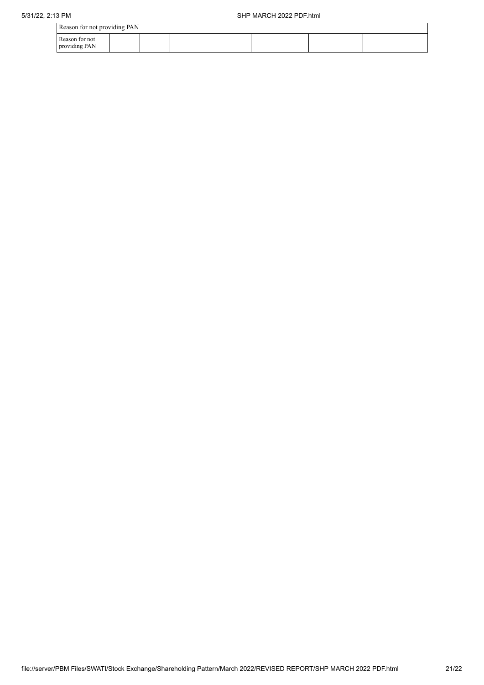| Reason for not providing PAN    |  |  |  |
|---------------------------------|--|--|--|
| Reason for not<br>providing PAN |  |  |  |